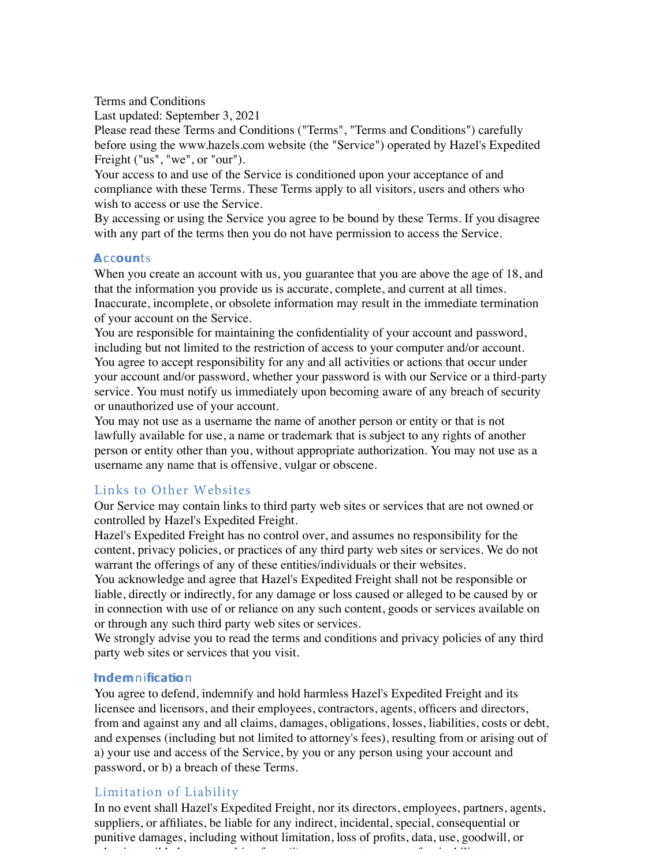Terms and Conditions

Last updated: September 3, 2021

Please read these Terms and Conditions ("Terms", "Terms and Conditions") carefully before using the www.hazels.com website (the "Service") operated by Hazel's Expedited Freight ("us", "we", or "our").

Your access to and use of the Service is conditioned upon your acceptance of and compliance with these Terms. These Terms apply to all visitors, users and others who wish to access or use the Service.

By accessing or using the Service you agree to be bound by these Terms. If you disagree with any part of the terms then you do not have permission to access the Service.

# **Accounts**

When you create an account with us, you guarantee that you are above the age of 18, and that the information you provide us is accurate, complete, and current at all times. Inaccurate, incomplete, or obsolete information may result in the immediate termination of your account on the Service.

You are responsible for maintaining the confidentiality of your account and password, including but not limited to the restriction of access to your computer and/or account. You agree to accept responsibility for any and all activities or actions that occur under your account and/or password, whether your password is with our Service or a third-party service. You must notify us immediately upon becoming aware of any breach of security or unauthorized use of your account.

You may not use as a username the name of another person or entity or that is not lawfully available for use, a name or trademark that is subject to any rights of another person or entity other than you, without appropriate authorization. You may not use as a username any name that is offensive, vulgar or obscene.

# Links to Other Websites

Our Service may contain links to third party web sites or services that are not owned or controlled by Hazel's Expedited Freight.

Hazel's Expedited Freight has no control over, and assumes no responsibility for the content, privacy policies, or practices of any third party web sites or services. We do not warrant the offerings of any of these entities/individuals or their websites.

You acknowledge and agree that Hazel's Expedited Freight shall not be responsible or liable, directly or indirectly, for any damage or loss caused or alleged to be caused by or in connection with use of or reliance on any such content, goods or services available on or through any such third party web sites or services.

We strongly advise you to read the terms and conditions and privacy policies of any third party web sites or services that you visit.

# $Indem$ n ification

You agree to defend, indemnify and hold harmless Hazel's Expedited Freight and its licensee and licensors, and their employees, contractors, agents, officers and directors, from and against any and all claims, damages, obligations, losses, liabilities, costs or debt, and expenses (including but not limited to attorney's fees), resulting from or arising out of a) your use and access of the Service, by you or any person using your account and password, or b) a breach of these Terms.

# Limitation of Liability

In no event shall Hazel's Expedited Freight, nor its directors, employees, partners, agents, suppliers, or affiliates, be liable for any indirect, incidental, special, consequential or punitive damages, including without limitation, loss of profits, data, use, goodwill, or other internal internal internal  $\sigma$  is or use or use or use or use or inability to access to access or use or use or use or use or use or use or use or use or use or use or use or use or use or use or use or use or use